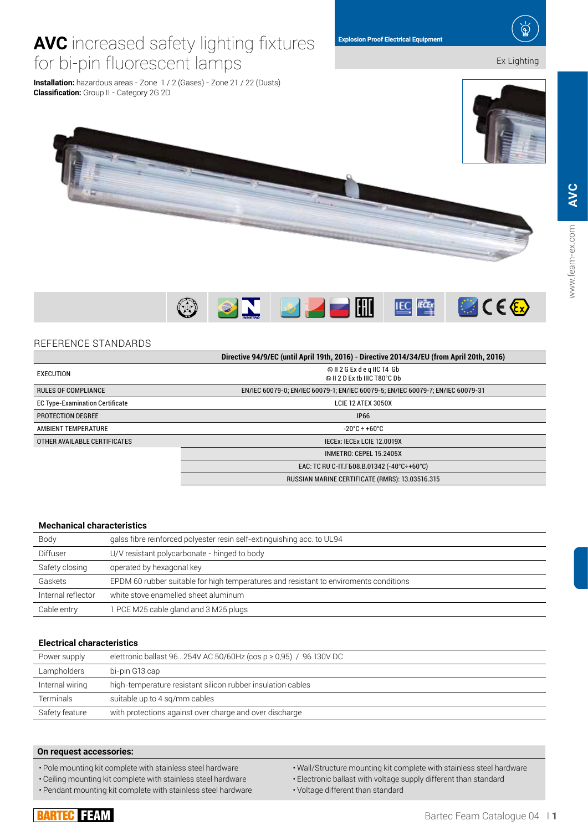**IEC** *IECE* 

# **AVC** increased safety lighting fixtures for bi-pin fluorescent lamps Ex Lighting

 $\bigcirc$ 

**Installation:** hazardous areas - Zone 1 / 2 (Gases) - Zone 21 / 22 (Dusts) **Classification:** Group II - Category 2G 2D

| REFERENCE STANDARDS |
|---------------------|
|---------------------|

|                                        | Directive 94/9/EC (until April 19th, 2016) - Directive 2014/34/EU (from April 20th, 2016) |  |  |  |
|----------------------------------------|-------------------------------------------------------------------------------------------|--|--|--|
| EXECUTION                              | Il 2 G Ex d e q IIC T4 Gb<br>© II 2 D Ex th IIIC T80°C Db                                 |  |  |  |
| <b>RULES OF COMPLIANCE</b>             | EN/IEC 60079-0; EN/IEC 60079-1; EN/IEC 60079-5; EN/IEC 60079-7; EN/IEC 60079-31           |  |  |  |
| <b>EC Type-Examination Certificate</b> | LCIE 12 ATEX 3050X                                                                        |  |  |  |
| <b>PROTECTION DEGREE</b>               | <b>IP66</b>                                                                               |  |  |  |
| AMBIENT TEMPERATURE                    | $-20^{\circ}$ C ÷ +60°C                                                                   |  |  |  |
| OTHER AVAILABLE CERTIFICATES           | IECEX: IECEX LCIE 12.0019X                                                                |  |  |  |
|                                        | INMETRO: CEPEL 15.2405X                                                                   |  |  |  |
|                                        | EAC: TC RU C-IT F608.B.01342 (-40°C÷+60°C)                                                |  |  |  |
|                                        | RUSSIAN MARINE CERTIFICATE (RMRS): 13.03516.315                                           |  |  |  |

## **Mechanical characteristics**

| Body               | galss fibre reinforced polyester resin self-extinguishing acc. to UL94                |
|--------------------|---------------------------------------------------------------------------------------|
| <b>Diffuser</b>    | U/V resistant polycarbonate - hinged to body                                          |
| Safety closing     | operated by hexagonal key                                                             |
| Gaskets            | EPDM 60 rubber suitable for high temperatures and resistant to enviroments conditions |
| Internal reflector | white stove enamelled sheet aluminum                                                  |
| Cable entry        | 1 PCE M25 cable gland and 3 M25 plugs                                                 |

## **Electrical characteristics**

| Power supply    | elettronic ballast 96254V AC 50/60Hz (cos $\rho \ge 0.95$ ) / 96 130V DC |
|-----------------|--------------------------------------------------------------------------|
| Lampholders     | bi-pin G13 cap                                                           |
| Internal wiring | high-temperature resistant silicon rubber insulation cables              |
| Terminals       | suitable up to 4 sg/mm cables                                            |
| Safety feature  | with protections against over charge and over discharge                  |

## **On request accessories:**

• Pole mounting kit complete with stainless steel hardware

• Ceiling mounting kit complete with stainless steel hardware

• Pendant mounting kit complete with stainless steel hardware

• Wall/Structure mounting kit complete with stainless steel hardware

• Electronic ballast with voltage supply different than standard

• Voltage different than standard



**SN PREM** 



**BICE&** 

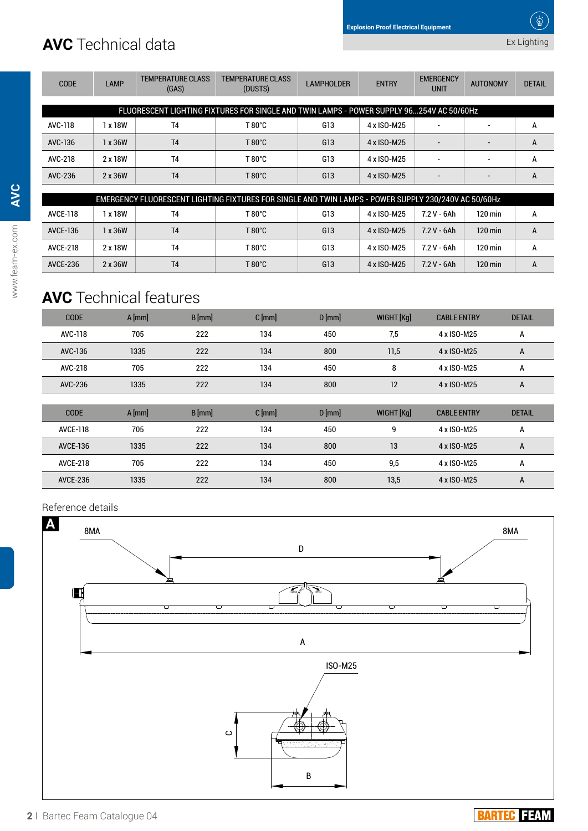# **AVC** Technical data

| <b>CODE</b> | <b>LAMP</b> | <b>TEMPERATURE CLASS</b><br>(GAS) | <b>TEMPERATURE CLASS</b><br>(DUSTS)                                                      | <b>LAMPHOLDER</b> | <b>ENTRY</b> | <b>EMERGENCY</b><br><b>UNIT</b> | <b>AUTONOMY</b>          | <b>DETAIL</b> |
|-------------|-------------|-----------------------------------|------------------------------------------------------------------------------------------|-------------------|--------------|---------------------------------|--------------------------|---------------|
|             |             |                                   |                                                                                          |                   |              |                                 |                          |               |
|             |             |                                   | FLUORESCENT LIGHTING FIXTURES FOR SINGLE AND TWIN LAMPS - POWER SUPPLY 96254V AC 50/60Hz |                   |              |                                 |                          |               |
| AVC-118     | 1 x 18W     | T <sub>4</sub>                    | $T80^{\circ}$ C                                                                          | G13               | 4 x ISO-M25  |                                 | $\overline{\phantom{a}}$ | A             |
| AVC-136     | 1 x 36W     | T <sub>4</sub>                    | $T80^{\circ}$ C                                                                          | G13               | 4 x ISO-M25  |                                 | $\overline{\phantom{0}}$ | A             |
| AVC-218     | 2 x 18W     | T <sub>4</sub>                    | $T80^{\circ}$ C                                                                          | G13               | 4 x ISO-M25  |                                 |                          | A             |
| AVC-236     | 2 x 36W     | <b>T4</b>                         | $T80^{\circ}$ C                                                                          | G13               | 4 x ISO-M25  |                                 |                          | A             |
|             |             |                                   |                                                                                          |                   |              |                                 |                          |               |

| EMERGENCY FLUORESCENT LIGHTING FIXTURES FOR SINGLE AND TWIN LAMPS - POWER SUPPLY 230/240V AC 50/60Hz |         |                |                 |     |             |              |                      |   |
|------------------------------------------------------------------------------------------------------|---------|----------------|-----------------|-----|-------------|--------------|----------------------|---|
| AVCE-118                                                                                             | 1 x 18W | T <sub>4</sub> | T 80°C          | G13 | 4 x ISO-M25 | 72 V - 6Ah   | 120 min              | A |
| <b>AVCE-136</b>                                                                                      | x 36W   | T <sub>4</sub> | $T80^{\circ}$ C | G13 | 4 x ISO-M25 | $7.2V - 6Ah$ | $120 \,\mathrm{min}$ | A |
| <b>AVCE-218</b>                                                                                      | 2 x 18W | T <sub>4</sub> | T 80°C          | G13 | 4 x ISO-M25 | 7.2 V - 6Ah  | 120 min              | А |
| <b>AVCE-236</b>                                                                                      | 2 x 36W | T <sub>4</sub> | T 80°C          | G13 | 4 x ISO-M25 | $7.2V - 6Ah$ | $120 \,\mathrm{min}$ | A |

# **AVC** Technical features

| <b>CODE</b> | $A$ [mm] | $B$ [mm] | $C$ [mm] | $D$ [mm] | WIGHT [Kg] | <b>CABLE ENTRY</b> | <b>DETAIL</b> |
|-------------|----------|----------|----------|----------|------------|--------------------|---------------|
| AVC-118     | 705      | 222      | 134      | 450      | 7,5        | 4 x ISO-M25        | A             |
| AVC-136     | 1335     | 222      | 134      | 800      | 11,5       | 4 x ISO-M25        | A             |
| AVC-218     | 705      | 222      | 134      | 450      | 8          | 4 x ISO-M25        | А             |
| AVC-236     | 1335     | 222      | 134      | 800      | 12         | 4 x ISO-M25        | A             |

| <b>CODE</b>     | $A$ [mm] | $B$ [mm] | $C$ [mm] | $D$ [mm] | WIGHT [Kg] | <b>CABLE ENTRY</b> | <b>DETAIL</b> |
|-----------------|----------|----------|----------|----------|------------|--------------------|---------------|
| <b>AVCE-118</b> | 705      | 222      | 134      | 450      | q          | 4 x ISO-M25        | A             |
| <b>AVCE-136</b> | 1335     | 222      | 134      | 800      | 13         | 4 x ISO-M25        | A             |
| <b>AVCE-218</b> | 705      | 222      | 134      | 450      | 9,5        | 4 x ISO-M25        | A             |
| <b>AVCE-236</b> | 1335     | 222      | 134      | 800      | 13,5       | 4 x ISO-M25        | A             |

## Reference details



**AVC**

## **BARTEC FEAM**

Ex Lighting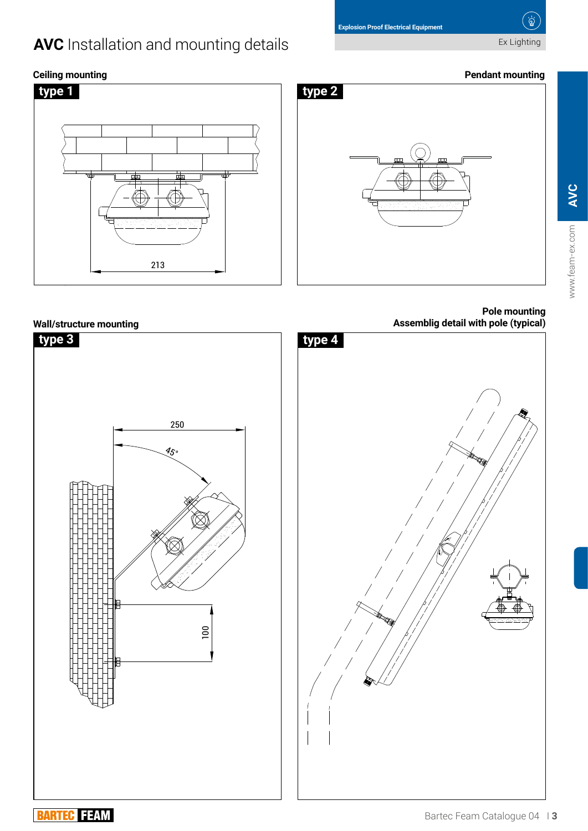# **AVC** Installation and mounting details **Installation and mounting details Installation** Ex Lighting

 $\overleftrightarrow{\mathbf{P}}$ 





## **Pole mounting Assemblig detail with pole (typical)**





## Bartec Feam Catalogue 04 I **3**